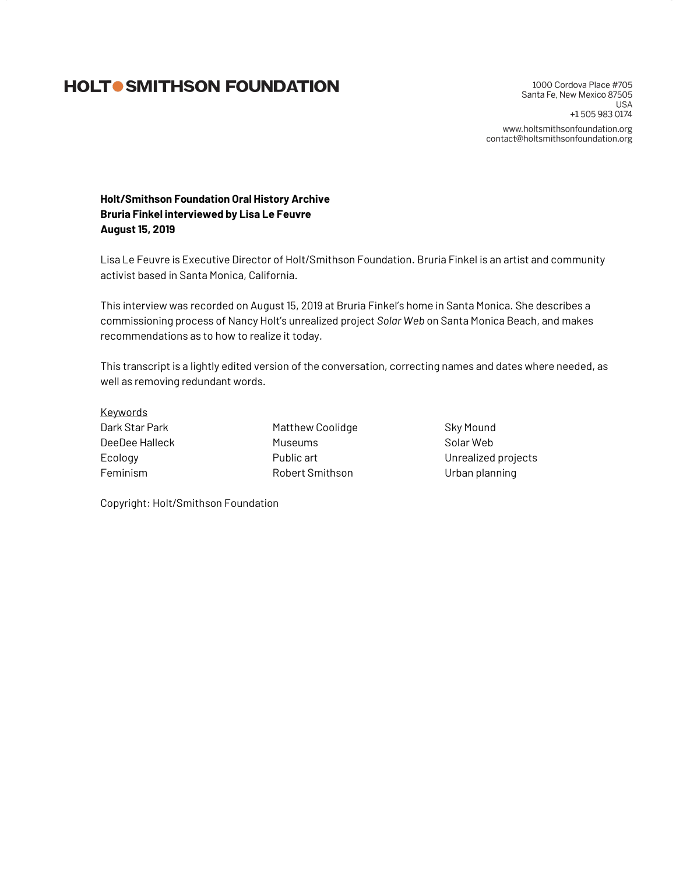# **HOLTO SMITHSON FOUNDATION**

1000 Cordova Place #705 Santa Fe, New Mexico 87505 **USA** +15059830174 www.holtsmithsonfoundation.org contact@holtsmithsonfoundation.org

**Holt/Smithson Foundation Oral History Archive Bruria Finkel interviewed by Lisa Le Feuvre August 15, 2019**

Lisa Le Feuvre is Executive Director of Holt/Smithson Foundation. Bruria Finkel is an artist and community activist based in Santa Monica, California.

This interview was recorded on August 15, 2019 at Bruria Finkel's home in Santa Monica. She describes a commissioning process of Nancy Holt's unrealized project *Solar Web* on Santa Monica Beach, and makes recommendations as to how to realize it today.

This transcript is a lightly edited version of the conversation, correcting names and dates where needed, as well as removing redundant words.

**Keywords** Dark Star Park DeeDee Halleck Ecology Feminism

Matthew Coolidge Museums Public art Robert Smithson

Sky Mound Solar Web Unrealized projects Urban planning

Copyright: Holt/Smithson Foundation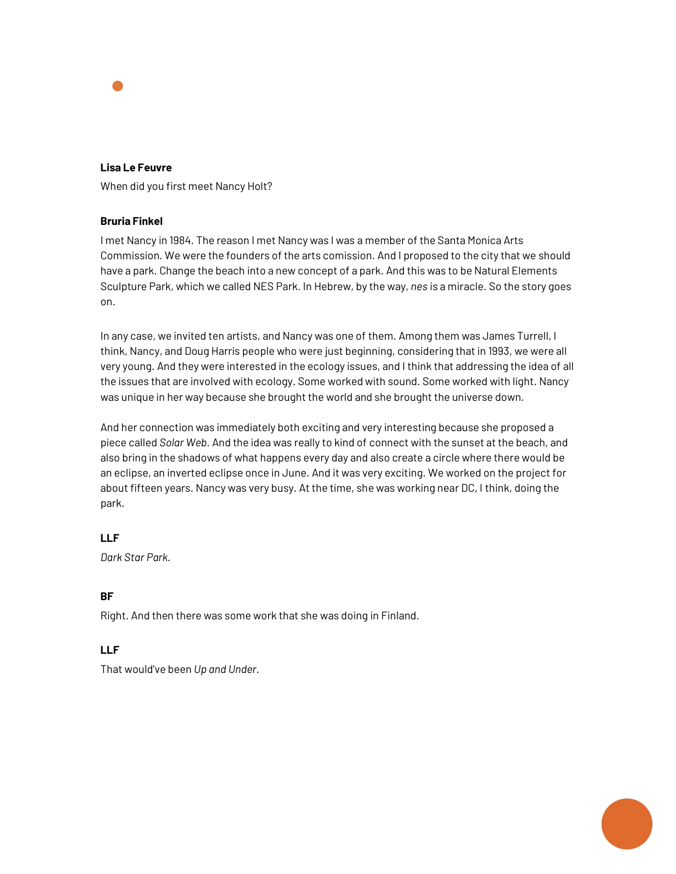

#### **Lisa Le Feuvre**

When did you first meet Nancy Holt?

## **Bruria Finkel**

I met Nancy in 1984. The reason I met Nancy was I was a member of the Santa Monica Arts Commission. We were the founders of the arts comission. And I proposed to the city that we should have a park. Change the beach into a new concept of a park. And this was to be Natural Elements Sculpture Park, which we called NES Park. In Hebrew, by the way, *nes* is a miracle. So the story goes on.

In any case, we invited ten artists, and Nancy was one of them. Among them was James Turrell, I think, Nancy, and Doug Harris people who were just beginning, considering that in 1993, we were all very young. And they were interested in the ecology issues, and I think that addressing the idea of all the issues that are involved with ecology. Some worked with sound. Some worked with light. Nancy was unique in her way because she brought the world and she brought the universe down.

And her connection was immediately both exciting and very interesting because she proposed a piece called *Solar Web*. And the idea was really to kind of connect with the sunset at the beach, and also bring in the shadows of what happens every day and also create a circle where there would be an eclipse, an inverted eclipse once in June. And it was very exciting. We worked on the project for about fifteen years. Nancy was very busy. At the time, she was working near DC, I think, doing the park.

## **LLF**

*Dark Star Park*.

#### **BF**

Right. And then there was some work that she was doing in Finland.

## **LLF**

That would've been *Up and Under*.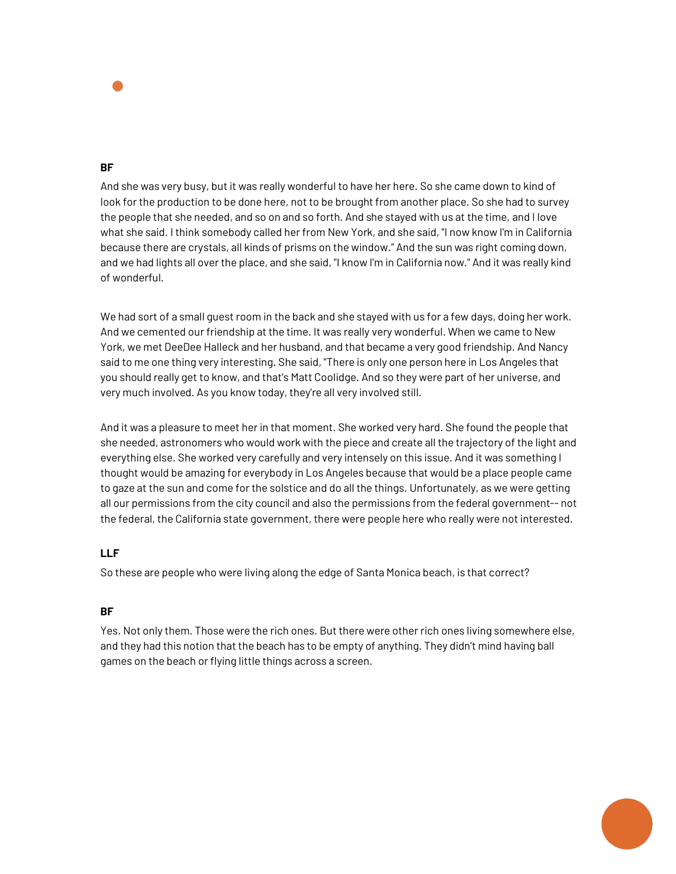

And she was very busy, but it was really wonderful to have her here. So she came down to kind of look for the production to be done here, not to be brought from another place. So she had to survey the people that she needed, and so on and so forth. And she stayed with us at the time, and I love what she said. I think somebody called her from New York, and she said, "I now know I'm in California because there are crystals, all kinds of prisms on the window." And the sun was right coming down, and we had lights all over the place, and she said, "I know I'm in California now." And it was really kind of wonderful.

We had sort of a small quest room in the back and she stayed with us for a few days, doing her work. And we cemented our friendship at the time. It was really very wonderful. When we came to New York, we met DeeDee Halleck and her husband, and that became a very good friendship. And Nancy said to me one thing very interesting. She said, "There is only one person here in Los Angeles that you should really get to know, and that's Matt Coolidge. And so they were part of her universe, and very much involved. As you know today, they're all very involved still.

And it was a pleasure to meet her in that moment. She worked very hard. She found the people that she needed, astronomers who would work with the piece and create all the trajectory of the light and everything else. She worked very carefully and very intensely on this issue. And it was something I thought would be amazing for everybody in Los Angeles because that would be a place people came to gaze at the sun and come for the solstice and do all the things. Unfortunately, as we were getting all our permissions from the city council and also the permissions from the federal government-- not the federal, the California state government, there were people here who really were not interested.

## **LLF**

So these are people who were living along the edge of Santa Monica beach, is that correct?

## **BF**

Yes. Not only them. Those were the rich ones. But there were other rich ones living somewhere else, and they had this notion that the beach has to be empty of anything. They didn't mind having ball games on the beach or flying little things across a screen.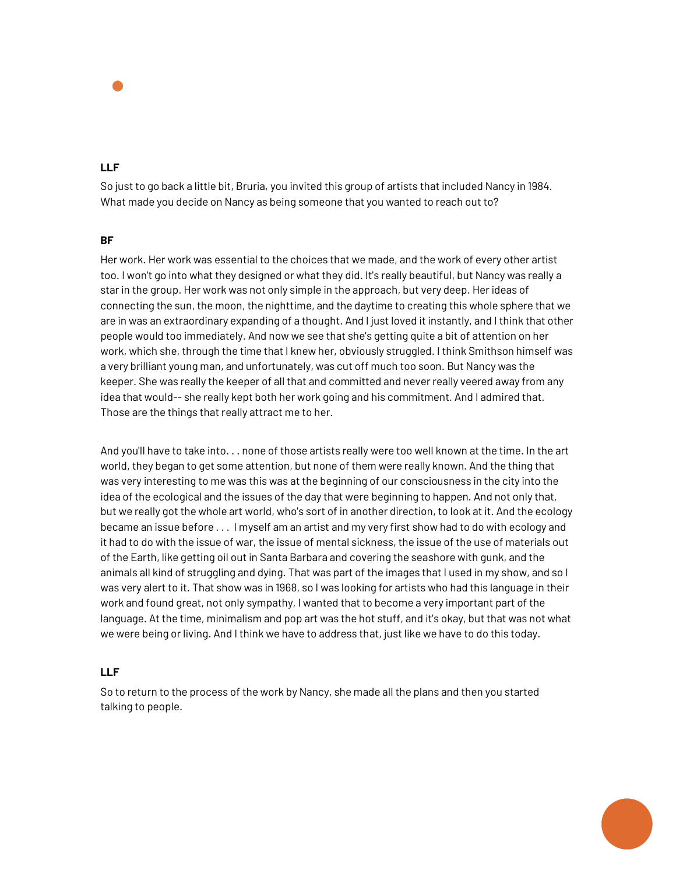

## **LLF**

So just to go back a little bit, Bruria, you invited this group of artists that included Nancy in 1984. What made you decide on Nancy as being someone that you wanted to reach out to?

#### **BF**

Her work. Her work was essential to the choices that we made, and the work of every other artist too. I won't go into what they designed or what they did. It's really beautiful, but Nancy was really a star in the group. Her work was not only simple in the approach, but very deep. Her ideas of connecting the sun, the moon, the nighttime, and the daytime to creating this whole sphere that we are in was an extraordinary expanding of a thought. And I just loved it instantly, and I think that other people would too immediately. And now we see that she's getting quite a bit of attention on her work, which she, through the time that I knew her, obviously struggled. I think Smithson himself was a very brilliant young man, and unfortunately, was cut off much too soon. But Nancy was the keeper. She was really the keeper of all that and committed and never really veered away from any idea that would-- she really kept both her work going and his commitment. And I admired that. Those are the things that really attract me to her.

And you'll have to take into. . . none of those artists really were too well known at the time. In the art world, they began to get some attention, but none of them were really known. And the thing that was very interesting to me was this was at the beginning of our consciousness in the city into the idea of the ecological and the issues of the day that were beginning to happen. And not only that, but we really got the whole art world, who's sort of in another direction, to look at it. And the ecology became an issue before . . . I myself am an artist and my very first show had to do with ecology and it had to do with the issue of war, the issue of mental sickness, the issue of the use of materials out of the Earth, like getting oil out in Santa Barbara and covering the seashore with gunk, and the animals all kind of struggling and dying. That was part of the images that I used in my show, and so I was very alert to it. That show was in 1968, so I was looking for artists who had this language in their work and found great, not only sympathy, I wanted that to become a very important part of the language. At the time, minimalism and pop art was the hot stuff, and it's okay, but that was not what we were being or living. And I think we have to address that, just like we have to do this today.

## **LLF**

So to return to the process of the work by Nancy, she made all the plans and then you started talking to people.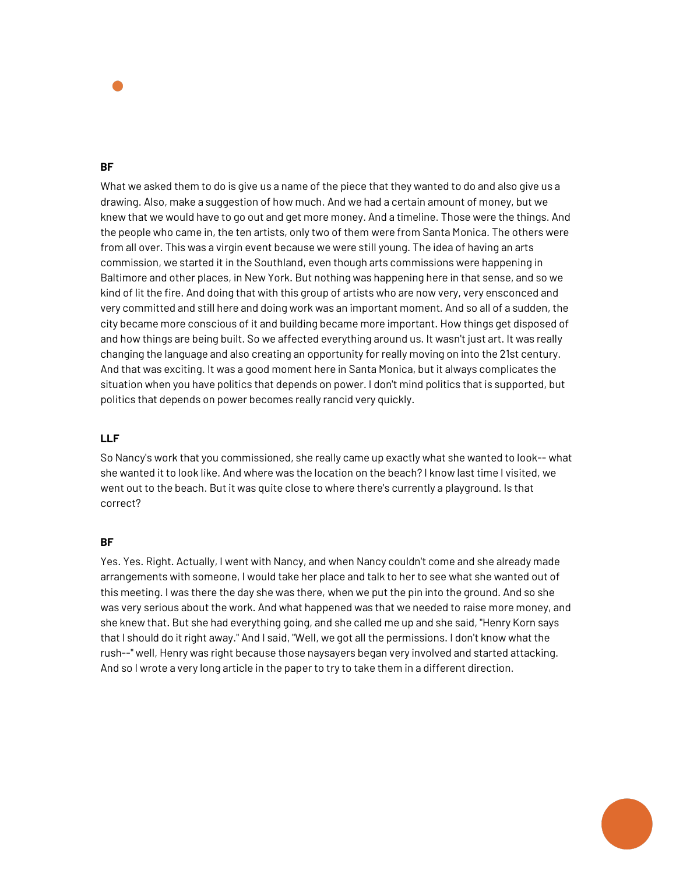

What we asked them to do is give us a name of the piece that they wanted to do and also give us a drawing. Also, make a suggestion of how much. And we had a certain amount of money, but we knew that we would have to go out and get more money. And a timeline. Those were the things. And the people who came in, the ten artists, only two of them were from Santa Monica. The others were from all over. This was a virgin event because we were still young. The idea of having an arts commission, we started it in the Southland, even though arts commissions were happening in Baltimore and other places, in New York. But nothing was happening here in that sense, and so we kind of lit the fire. And doing that with this group of artists who are now very, very ensconced and very committed and still here and doing work was an important moment. And so all of a sudden, the city became more conscious of it and building became more important. How things get disposed of and how things are being built. So we affected everything around us. It wasn't just art. It was really changing the language and also creating an opportunity for really moving on into the 21st century. And that was exciting. It was a good moment here in Santa Monica, but it always complicates the situation when you have politics that depends on power. I don't mind politics that is supported, but politics that depends on power becomes really rancid very quickly.

# **LLF**

So Nancy's work that you commissioned, she really came up exactly what she wanted to look-- what she wanted it to look like. And where was the location on the beach? I know last time I visited, we went out to the beach. But it was quite close to where there's currently a playground. Is that correct?

## **BF**

Yes. Yes. Right. Actually, I went with Nancy, and when Nancy couldn't come and she already made arrangements with someone, I would take her place and talk to her to see what she wanted out of this meeting. I was there the day she was there, when we put the pin into the ground. And so she was very serious about the work. And what happened was that we needed to raise more money, and she knew that. But she had everything going, and she called me up and she said, "Henry Korn says that I should do it right away." And I said, "Well, we got all the permissions. I don't know what the rush--" well, Henry was right because those naysayers began very involved and started attacking. And so I wrote a very long article in the paper to try to take them in a different direction.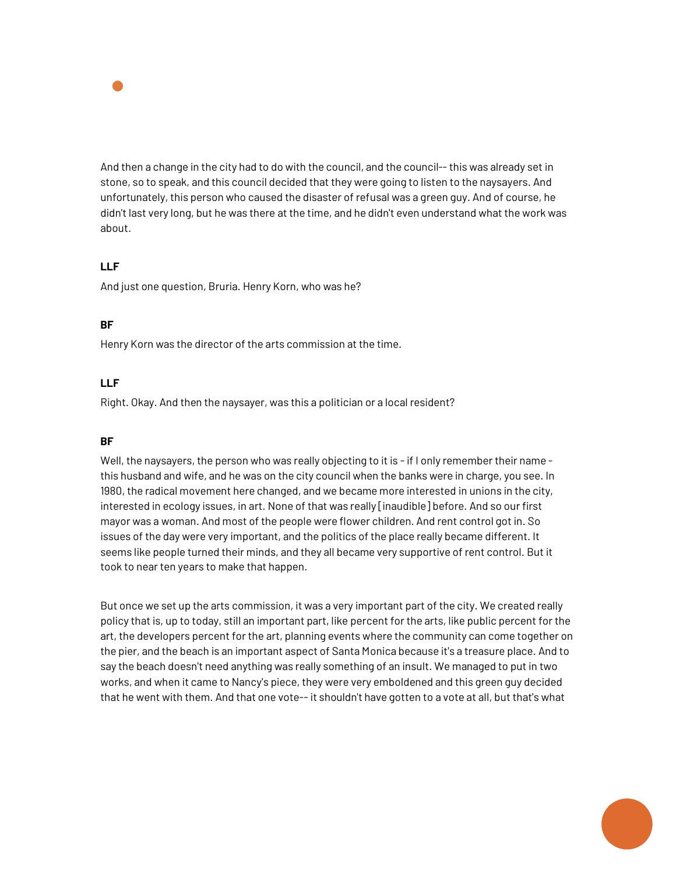

And then a change in the city had to do with the council, and the council-- this was already set in stone, so to speak, and this council decided that they were going to listen to the naysayers. And unfortunately, this person who caused the disaster of refusal was a green guy. And of course, he didn't last very long, but he was there at the time, and he didn't even understand what the work was about.

# **LLF**

And just one question, Bruria. Henry Korn, who was he?

# **BF**

Henry Korn was the director of the arts commission at the time.

## **LLF**

Right. Okay. And then the naysayer, was this a politician or a local resident?

## **BF**

Well, the naysayers, the person who was really objecting to it is - if I only remember their name this husband and wife, and he was on the city council when the banks were in charge, you see. In 1980, the radical movement here changed, and we became more interested in unions in the city, interested in ecology issues, in art. None of that was really [inaudible] before. And so our first mayor was a woman. And most of the people were flower children. And rent control got in. So issues of the day were very important, and the politics of the place really became different. It seems like people turned their minds, and they all became very supportive of rent control. But it took to near ten years to make that happen.

But once we set up the arts commission, it was a very important part of the city. We created really policy that is, up to today, still an important part, like percent for the arts, like public percent for the art, the developers percent for the art, planning events where the community can come together on the pier, and the beach is an important aspect of Santa Monica because it's a treasure place. And to say the beach doesn't need anything was really something of an insult. We managed to put in two works, and when it came to Nancy's piece, they were very emboldened and this green guy decided that he went with them. And that one vote-- it shouldn't have gotten to a vote at all, but that's what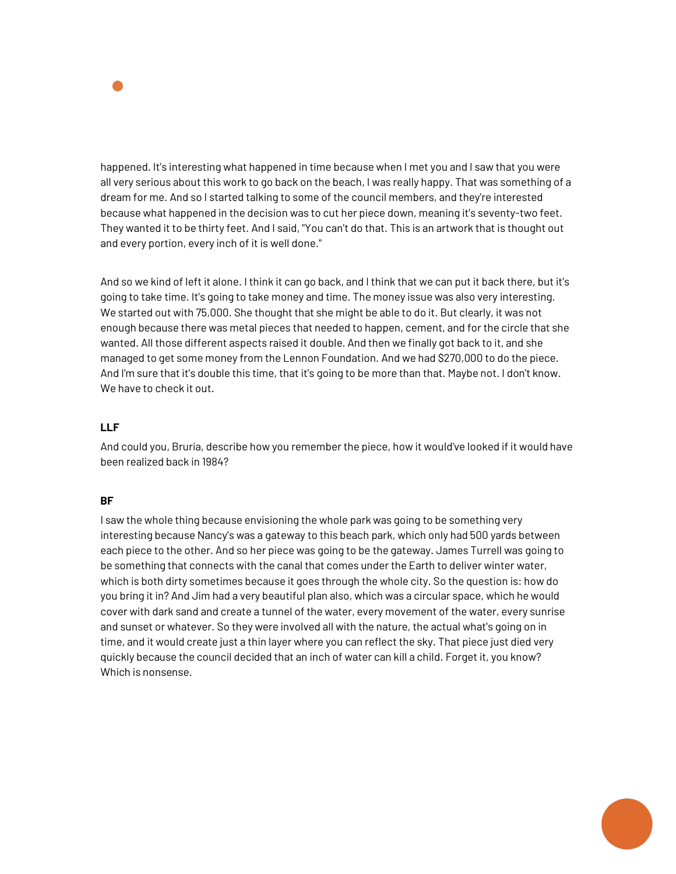

happened. It's interesting what happened in time because when I met you and I saw that you were all very serious about this work to go back on the beach, I was really happy. That was something of a dream for me. And so I started talking to some of the council members, and they're interested because what happened in the decision was to cut her piece down, meaning it's seventy-two feet. They wanted it to be thirty feet. And I said, "You can't do that. This is an artwork that is thought out and every portion, every inch of it is well done."

And so we kind of left it alone. I think it can go back, and I think that we can put it back there, but it's going to take time. It's going to take money and time. The money issue was also very interesting. We started out with 75,000. She thought that she might be able to do it. But clearly, it was not enough because there was metal pieces that needed to happen, cement, and for the circle that she wanted. All those different aspects raised it double. And then we finally got back to it, and she managed to get some money from the Lennon Foundation. And we had \$270,000 to do the piece. And I'm sure that it's double this time, that it's going to be more than that. Maybe not. I don't know. We have to check it out.

## **LLF**

And could you, Bruria, describe how you remember the piece, how it would've looked if it would have been realized back in 1984?

## **BF**

I saw the whole thing because envisioning the whole park was going to be something very interesting because Nancy's was a gateway to this beach park, which only had 500 yards between each piece to the other. And so her piece was going to be the gateway. James Turrell was going to be something that connects with the canal that comes under the Earth to deliver winter water, which is both dirty sometimes because it goes through the whole city. So the question is: how do you bring it in? And Jim had a very beautiful plan also, which was a circular space, which he would cover with dark sand and create a tunnel of the water, every movement of the water, every sunrise and sunset or whatever. So they were involved all with the nature, the actual what's going on in time, and it would create just a thin layer where you can reflect the sky. That piece just died very quickly because the council decided that an inch of water can kill a child. Forget it, you know? Which is nonsense.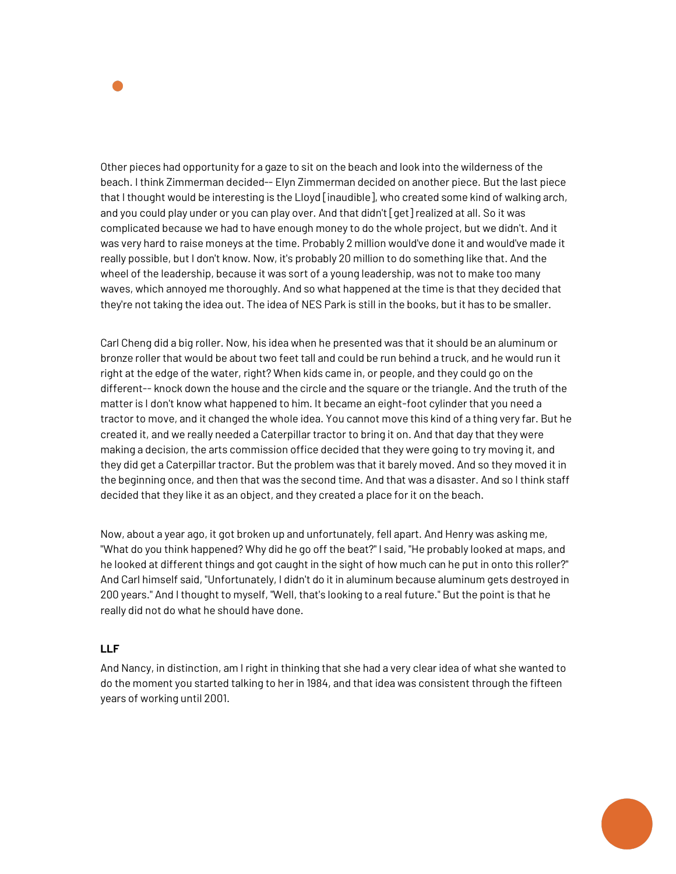

Other pieces had opportunity for a gaze to sit on the beach and look into the wilderness of the beach. I think Zimmerman decided-- Elyn Zimmerman decided on another piece. But the last piece that I thought would be interesting is the Lloyd [inaudible], who created some kind of walking arch, and you could play under or you can play over. And that didn't [get] realized at all. So it was complicated because we had to have enough money to do the whole project, but we didn't. And it was very hard to raise moneys at the time. Probably 2 million would've done it and would've made it really possible, but I don't know. Now, it's probably 20 million to do something like that. And the wheel of the leadership, because it was sort of a young leadership, was not to make too many waves, which annoyed me thoroughly. And so what happened at the time is that they decided that they're not taking the idea out. The idea of NES Park is still in the books, butit has to be smaller.

Carl Cheng did a big roller. Now, his idea when he presented was that it should be an aluminum or bronze roller that would be about two feet tall and could be run behind a truck, and he would run it right at the edge of the water, right? When kids came in, or people, and they could go on the different-- knock down the house and the circle and the square or the triangle. And the truth of the matter is I don't know what happened to him. It became an eight-foot cylinder that you need a tractor to move, and it changed the whole idea. You cannot move this kind of a thing very far. But he created it, and we really needed a Caterpillar tractor to bring it on. And that day that they were making a decision, the arts commission office decided that they were going to try moving it, and they did get a Caterpillar tractor. But the problem was that it barely moved. And so they moved it in the beginning once, and then that was the second time. And that was a disaster. And so I think staff decided that they like it as an object, and they created a place for it on the beach.

Now, about a year ago, it got broken up and unfortunately, fell apart. And Henry was asking me, "What do you think happened? Why did he go off the beat?" I said, "He probably looked at maps, and he looked at different things and got caught in the sight of how much can he put in onto this roller?" And Carl himself said, "Unfortunately, I didn't do it in aluminum because aluminum gets destroyed in 200 years." And I thought to myself, "Well, that's looking to a real future." But the point is that he really did not do what he should have done.

## **LLF**

And Nancy, in distinction, am I right in thinking that she had a very clear idea of what she wanted to do the moment you started talking to her in 1984, and that idea was consistent through the fifteen years of working until 2001.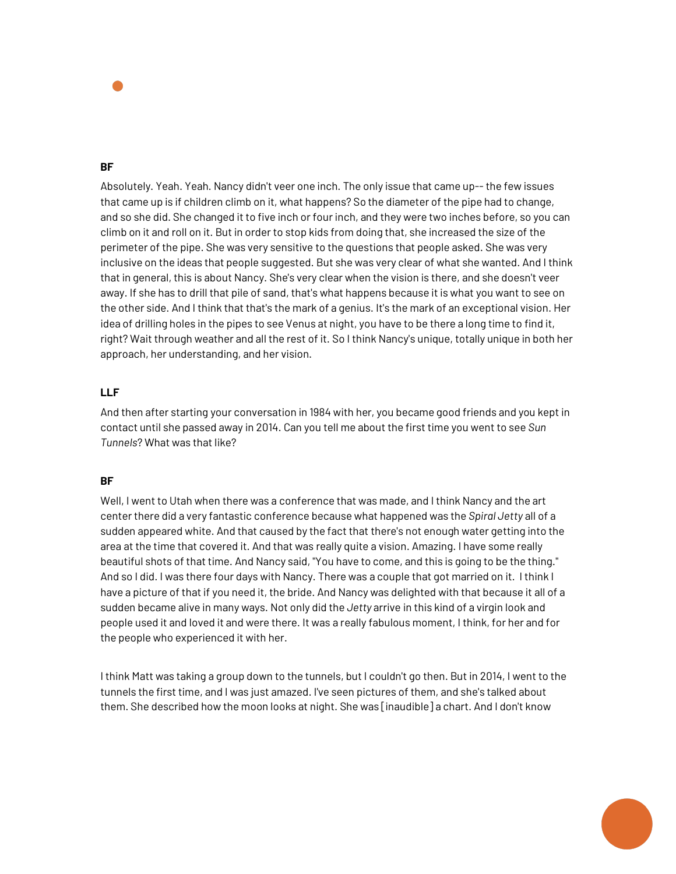

Absolutely. Yeah. Yeah. Nancy didn't veer one inch. The only issue that came up-- the few issues that came up is if children climb on it, what happens? So the diameter of the pipe had to change, and so she did. She changed it to five inch or four inch, and they were two inches before, so you can climb on it and roll on it. But in order to stop kids from doing that, she increased the size of the perimeter of the pipe. She was very sensitive to the questions that people asked. She was very inclusive on the ideas that people suggested. But she was very clear of what she wanted. And I think that in general, this is about Nancy. She's very clear when the vision is there, and she doesn't veer away. If she has to drill that pile of sand, that's what happens because it is what you want to see on the other side. And I think that that's the mark of a genius. It's the mark of an exceptional vision. Her idea of drilling holes in the pipes to see Venus at night, you have to be there a long time to find it, right? Wait through weather and all the rest of it. So I think Nancy's unique, totally unique in both her approach, her understanding, and her vision.

## **LLF**

And then after starting your conversation in 1984 with her, you became good friends and you kept in contact until she passed away in 2014. Can you tell me about the first time you went to see *Sun Tunnels*? What was that like?

## **BF**

Well, I went to Utah when there was a conference that was made, and I think Nancy and the art center there did a very fantastic conference because what happened was the *Spiral Jetty* all of a sudden appeared white. And that caused by the fact that there's not enough water getting into the area at the time that covered it. And that was really quite a vision. Amazing. I have some really beautiful shots of that time. And Nancy said, "You have to come, and this is going to be the thing." And so I did. I was there four days with Nancy. There was a couple that got married on it. I think I have a picture of that if you need it, the bride. And Nancy was delighted with that because it all of a sudden became alive in many ways. Not only did the *Jetty* arrive in this kind of a virgin look and people used it and loved it and were there. It was a really fabulous moment, I think, for her and for the people who experienced it with her.

I think Matt was taking a group down to the tunnels, but I couldn't go then. But in 2014, I went to the tunnels the first time, and I was just amazed. I've seen pictures of them, and she's talked about them. She described how the moon looks at night. She was [inaudible] a chart. And I don't know

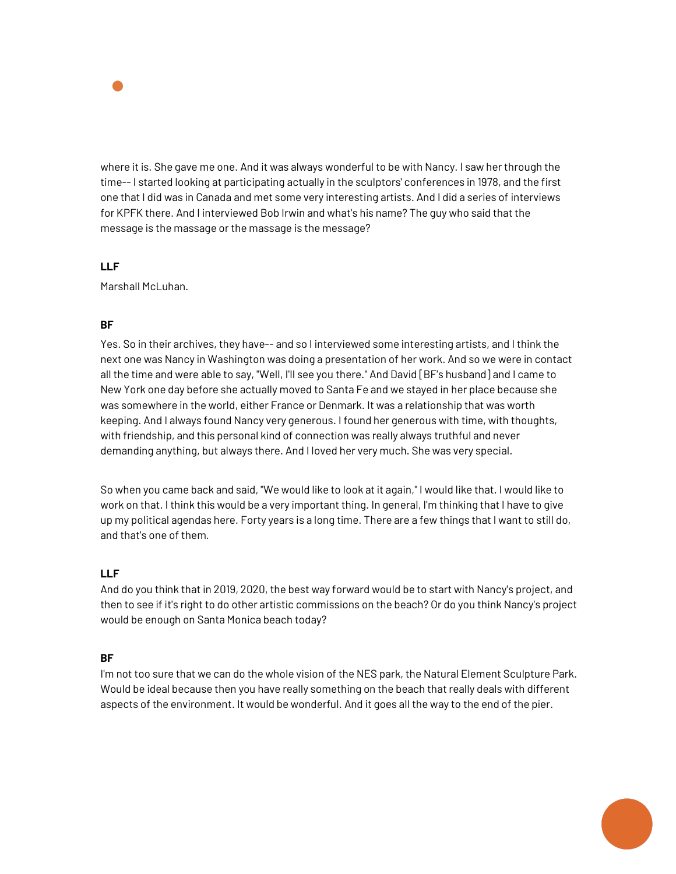

where it is. She gave me one. And it was always wonderful to be with Nancy. I saw her through the time-- I started looking at participating actually in the sculptors' conferences in 1978, and the first one that I did was in Canada and met some very interesting artists. And I did a series of interviews for KPFK there. And I interviewed Bob Irwin and what's his name? The guy who said that the message is the massage or the massage is the message?

# **LLF**

Marshall McLuhan.

# **BF**

Yes. So in their archives, they have-- and so I interviewed some interesting artists, and I think the next one was Nancy in Washington was doing a presentation of her work. And so we were in contact all the time and were able to say, "Well, I'll see you there." And David [BF's husband] and I came to New York one day before she actually moved to Santa Fe and we stayed in her place because she was somewhere in the world, either France or Denmark. It was a relationship that was worth keeping. And I always found Nancy very generous. I found her generous with time, with thoughts, with friendship, and this personal kind of connection was really always truthful and never demanding anything, but always there. And I loved her very much. She was very special.

So when you came back and said, "We would like to look at it again," I would like that. I would like to work on that. I think this would be a very important thing. In general, I'm thinking that I have to give up my political agendas here. Forty years is a long time. There are a few things that I want to still do, and that's one of them.

## **LLF**

And do you think that in 2019, 2020, the best way forward would be to start with Nancy's project, and then to see if it's right to do other artistic commissions on the beach? Or do you think Nancy's project would be enough on Santa Monica beach today?

## **BF**

I'm not too sure that we can do the whole vision of the NES park, the Natural Element Sculpture Park. Would be ideal because then you have really something on the beach that really deals with different aspects of the environment. It would be wonderful. And it goes all the way to the end of the pier.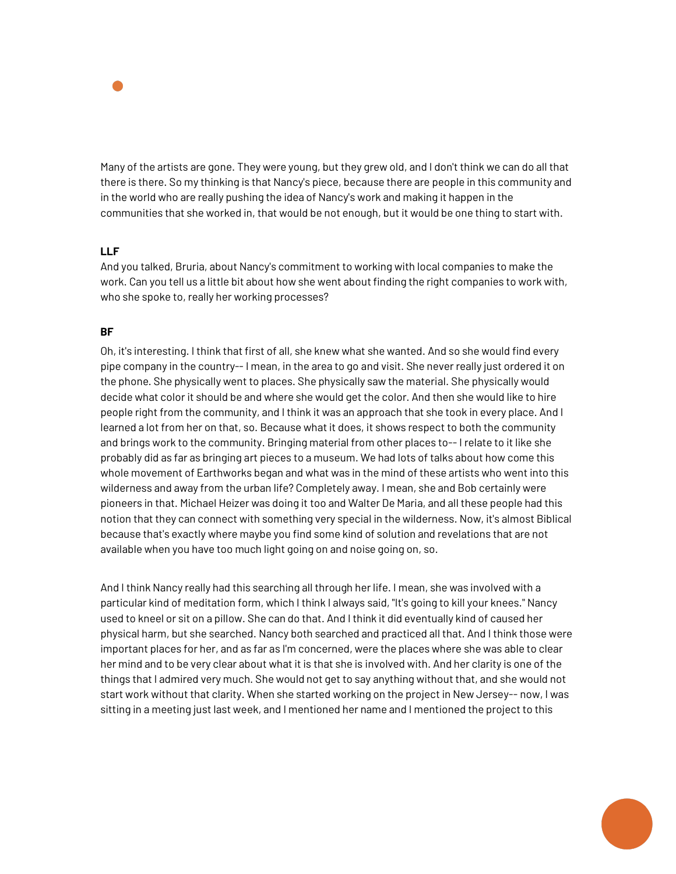

Many of the artists are gone. They were young, but they grew old, and I don't think we can do all that there is there. So my thinking is that Nancy's piece, because there are people in this community and in the world who are really pushing the idea of Nancy's work and making it happen in the communities that she worked in, that would be not enough, but it would be one thing to start with.

## **LLF**

And you talked, Bruria, about Nancy's commitment to working with local companies to make the work. Can you tell us a little bit about how she went about finding the right companies to work with, who she spoke to, really her working processes?

#### **BF**

Oh, it's interesting. I think that first of all, she knew what she wanted. And so she would find every pipe company in the country-- I mean, in the area to go and visit. She never really just ordered it on the phone. She physically went to places. She physically saw the material. She physically would decide what color it should be and where she would get the color. And then she would like to hire people right from the community, and I think it was an approach that she took in every place. And I learned a lot from her on that, so. Because what it does, it shows respect to both the community and brings work to the community. Bringing material from other places to-- I relate to it like she probably did as far as bringing art pieces to a museum. We had lots of talks about how come this whole movement of Earthworks began and what was in the mind of these artists who went into this wilderness and away from the urban life? Completely away. I mean, she and Bob certainly were pioneers in that. Michael Heizer was doing it too and Walter De Maria, and all these people had this notion that they can connect with something very special in the wilderness. Now, it's almost Biblical because that's exactly where maybe you find some kind of solution and revelations that are not available when you have too much light going on and noise going on, so.

And I think Nancy really had this searching all through her life. I mean, she was involved with a particular kind of meditation form, which I think I always said, "It's going to kill your knees." Nancy used to kneel or sit on a pillow. She can do that. And I think it did eventually kind of caused her physical harm, but she searched. Nancy both searched and practiced all that. And I think those were important places for her, and as far as I'm concerned, were the places where she was able to clear her mind and to be very clear about what it is that she is involved with. And her clarity is one of the things that I admired very much. She would not get to say anything without that, and she would not start work without that clarity. When she started working on the project in New Jersey-- now, I was sitting in a meeting just last week, and I mentioned her name and I mentioned the project to this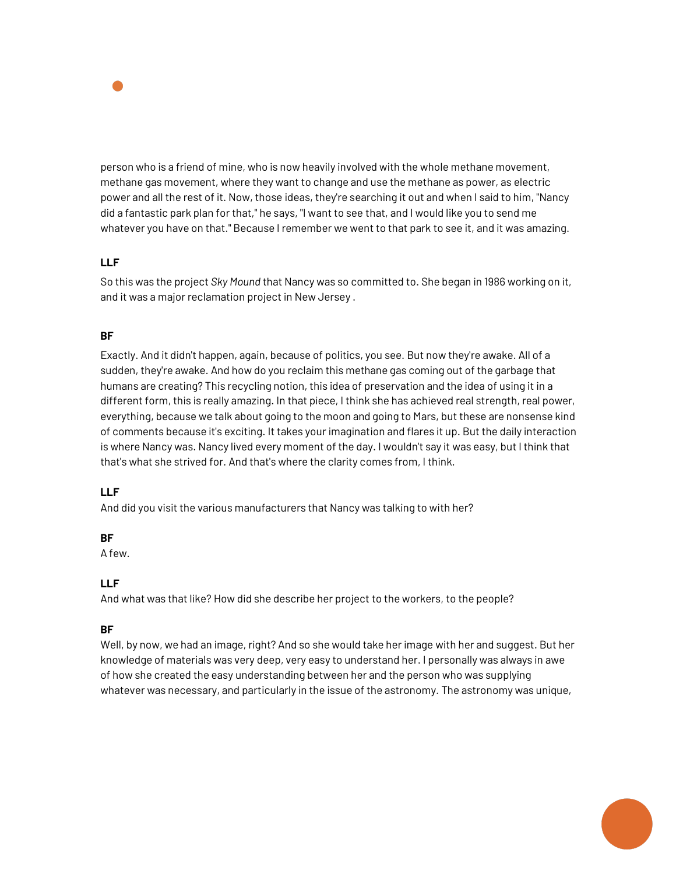

person who is a friend of mine, who is now heavily involved with the whole methane movement, methane gas movement, where they want to change and use the methane as power, as electric power and all the rest of it. Now, those ideas, they're searching it out and when I said to him, "Nancy did a fantastic park plan for that," he says, "I want to see that, and I would like you to send me whatever you have on that." Because I remember we went to that park to see it, and it was amazing.

## **LLF**

So this was the project *Sky Mound* that Nancy was so committed to. She began in 1986 working on it, and it was a major reclamation project in New Jersey .

# **BF**

Exactly. And it didn't happen, again, because of politics, you see. But now they're awake. All of a sudden, they're awake. And how do you reclaim this methane gas coming out of the garbage that humans are creating? This recycling notion, this idea of preservation and the idea of using it in a different form, this is really amazing. In that piece, I think she has achieved real strength, real power, everything, because we talk about going to the moon and going to Mars, but these are nonsense kind of comments because it's exciting. It takes your imagination and flares it up. But the daily interaction is where Nancy was. Nancy lived every moment of the day. I wouldn't say it was easy, but I think that that's what she strived for. And that's where the clarity comes from, I think.

## **LLF**

And did you visit the various manufacturers that Nancy was talking to with her?

## **BF**

A few.

## **LLF**

And what was that like? How did she describe her project to the workers, to the people?

## **BF**

Well, by now, we had an image, right? And so she would take her image with her and suggest. But her knowledge of materials was very deep, very easy to understand her. I personally was always in awe of how she created the easy understanding between her and the person who was supplying whatever was necessary, and particularly in the issue of the astronomy. The astronomy was unique,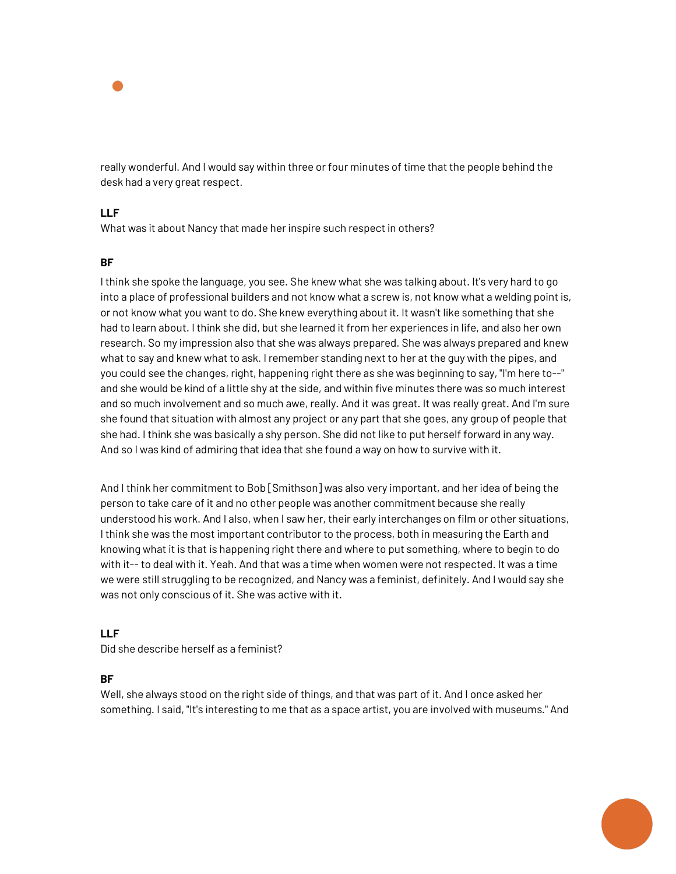

really wonderful. And I would say within three or four minutes of time that the people behind the desk had a very great respect.

## **LLF**

What was it about Nancy that made her inspire such respect in others?

#### **BF**

I think she spoke the language, you see. She knew what she was talking about. It's very hard to go into a place of professional builders and not know what a screw is, not know what a welding point is, or not know what you want to do. She knew everything about it. It wasn't like something that she had to learn about. I think she did, but she learned it from her experiences in life, and also her own research. So my impression also that she was always prepared. She was always prepared and knew what to say and knew what to ask. I remember standing next to her at the guy with the pipes, and you could see the changes, right, happening right there as she was beginning to say, "I'm here to--" and she would be kind of a little shy at the side, and within five minutes there was so much interest and so much involvement and so much awe, really. And it was great. It was really great. And I'm sure she found that situation with almost any project or any part that she goes, any group of people that she had. I think she was basically a shy person. She did not like to put herself forward in any way. And so I was kind of admiring that idea that she found a way on how to survive with it.

And I think her commitment to Bob [Smithson] was also very important, and her idea of being the person to take care of it and no other people was another commitment because she really understood his work. And I also, when I saw her, their early interchanges on film or other situations, I think she was the most important contributor to the process, both in measuring the Earth and knowing what it is that is happening right there and where to put something, where to begin to do with it-- to deal with it. Yeah. And that was a time when women were not respected. It was a time we were still struggling to be recognized, and Nancy was a feminist, definitely. And I would say she was not only conscious of it. She was active with it.

#### **LLF**

Did she describe herself as a feminist?

#### **BF**

Well, she always stood on the right side of things, and that was part of it. And I once asked her something. I said, "It's interesting to me that as a space artist, you are involved with museums." And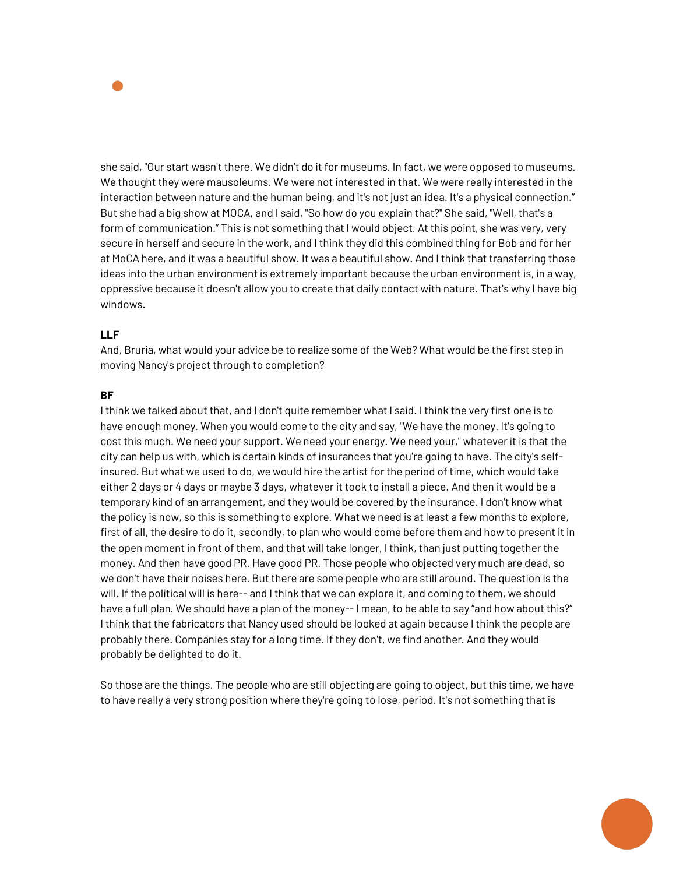

she said, "Our start wasn't there. We didn't do it for museums. In fact, we were opposed to museums. We thought they were mausoleums. We were not interested in that. We were really interested in the interaction between nature and the human being, and it's not just an idea. It's a physical connection." But she had a big show at MOCA, and I said, "So how do you explain that?" She said, "Well, that's a form of communication." This is not something that I would object. At this point, she was very, very secure in herself and secure in the work, and I think they did this combined thing for Bob and for her at MoCA here, and it was a beautiful show. It was a beautiful show. And I think that transferring those ideas into the urban environment is extremely important because the urban environment is, in a way, oppressive because it doesn't allow you to create that daily contact with nature. That's why I have big windows.

#### **LLF**

And, Bruria, what would your advice be to realize some of the Web? What would be the first step in moving Nancy's project through to completion?

#### **BF**

I think we talked about that, and I don't quite remember what I said. I think the very first one is to have enough money. When you would come to the city and say, "We have the money. It's going to cost this much. We need your support. We need your energy. We need your," whatever it is that the city can help us with, which is certain kinds of insurances that you're going to have. The city's selfinsured. But what we used to do, we would hire the artist for the period of time, which would take either 2 days or 4 days or maybe 3 days, whatever it took to install a piece. And then it would be a temporary kind of an arrangement, and they would be covered by the insurance. I don't know what the policy is now, so this is something to explore. What we need is at least a few months to explore, first of all, the desire to do it, secondly, to plan who would come before them and how to present it in the open moment in front of them, and that will take longer, I think, than just putting together the money. And then have good PR. Have good PR. Those people who objected very much are dead, so we don't have their noises here. But there are some people who are still around. The question is the will. If the political will is here-- and I think that we can explore it, and coming to them, we should have a full plan. We should have a plan of the money-- I mean, to be able to say "and how about this?" I think that the fabricators that Nancy used should be looked at again because I think the people are probably there. Companies stay for a long time. If they don't, we find another. And they would probably be delighted to do it.

So those are the things. The people who are still objecting are going to object, but this time, we have to have really a very strong position where they're going to lose, period. It's not something that is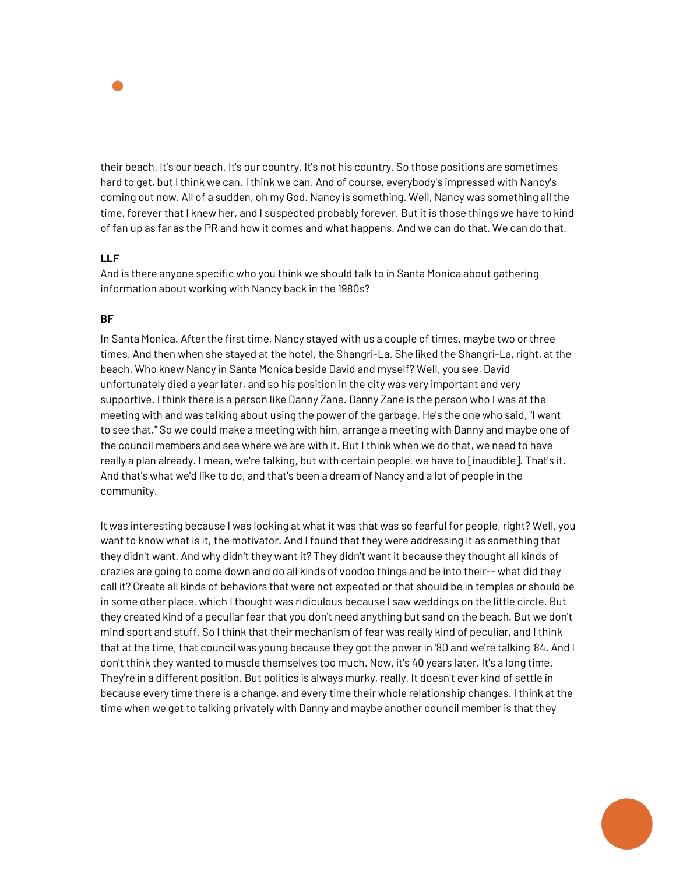

their beach. It's our beach. It's our country. It's not his country. So those positions are sometimes hard to get, but I think we can. I think we can. And of course, everybody's impressed with Nancy's coming out now. All of a sudden, oh my God. Nancy is something. Well, Nancy was something all the time, forever that I knew her, and I suspected probably forever. But it is those things we have to kind of fan up as far as the PR and how it comes and what happens. And we can do that. We can do that.

## **LLF**

And is there anyone specific who you think we should talk to in Santa Monica about gathering information about working with Nancy back in the 1980s?

## **BF**

In Santa Monica. After the first time, Nancy stayed with us a couple of times, maybe two or three times. And then when she stayed at the hotel, the Shangri-La. She liked the Shangri-La, right, at the beach. Who knew Nancy in Santa Monica beside David and myself? Well, you see, David unfortunately died a year later, and so his position in the city was very important and very supportive. I think there is a person like Danny Zane. Danny Zane is the person who I was at the meeting with and was talking about using the power of the garbage. He's the one who said, "I want to see that." So we could make a meeting with him, arrange a meeting with Danny and maybe one of the council members and see where we are with it. But I think when we do that, we need to have really a plan already. I mean, we're talking, but with certain people, we have to [inaudible]. That's it. And that's what we'd like to do, and that's been a dream of Nancy and a lot of people in the community.

It was interesting because I was looking at what it was that was so fearful for people, right? Well, you want to know what is it, the motivator. And I found that they were addressing it as something that they didn't want. And why didn't they want it? They didn't want it because they thought all kinds of crazies are going to come down and do all kinds of voodoo things and be into their-- what did they call it? Create all kinds of behaviors that were not expected or that should be in temples or should be in some other place, which I thought was ridiculous because I saw weddings on the little circle. But they created kind of a peculiar fear that you don't need anything but sand on the beach. But we don't mind sport and stuff. So I think that their mechanism of fear was really kind of peculiar, and I think that at the time, that council was young because they got the power in '80 and we're talking '84. And I don't think they wanted to muscle themselves too much. Now, it's 40 years later. It's a long time. They're in a different position. But politics is always murky, really. It doesn't ever kind of settle in because every time there is a change, and every time their whole relationship changes. I think at the time when we get to talking privately with Danny and maybe another council member is that they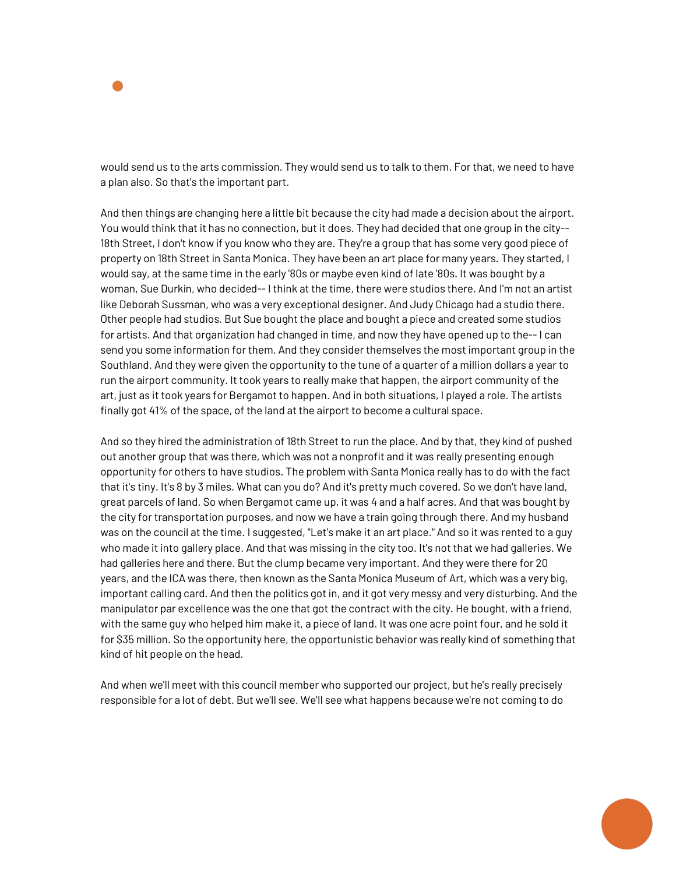

would send us to the arts commission. They would send us to talk to them. For that, we need to have a plan also. So that's the important part.

And then things are changing here a little bit because the city had made a decision about the airport. You would think that it has no connection, but it does. They had decided that one group in the city-- 18th Street, I don't know if you know who they are. They're a group that has some very good piece of property on 18th Street in Santa Monica. They have been an art place for many years. They started, I would say, at the same time in the early '80s or maybe even kind of late '80s. It was bought by a woman, Sue Durkin, who decided-- I think at the time, there were studios there. And I'm not an artist like Deborah Sussman, who was a very exceptional designer. And Judy Chicago had a studio there. Other people had studios. But Sue bought the place and bought a piece and created some studios for artists. And that organization had changed in time, and now they have opened up to the-- I can send you some information for them. And they consider themselves the most important group in the Southland. And they were given the opportunity to the tune of a quarter of a million dollars a year to run the airport community. It took years to really make that happen, the airport community of the art, just as it took years for Bergamot to happen. And in both situations, I played a role. The artists finally got 41% of the space, of the land at the airport to become a cultural space.

And so they hired the administration of 18th Street to run the place. And by that, they kind of pushed out another group that was there, which was not a nonprofit and it was really presenting enough opportunity for others to have studios. The problem with Santa Monica really has to do with the fact that it's tiny. It's 8 by 3 miles. What can you do? And it's pretty much covered. So we don't have land, great parcels of land. So when Bergamot came up, it was 4 and a half acres. And that was bought by the city for transportation purposes, and now we have a train going through there. And my husband was on the council at the time. I suggested, "Let's make it an art place." And so it was rented to a guy who made it into gallery place. And that was missing in the city too. It's not that we had galleries. We had galleries here and there. But the clump became very important. And they were there for 20 years, and the ICA was there, then known as the Santa Monica Museum of Art, which was a very big, important calling card. And then the politics got in, and it got very messy and very disturbing. And the manipulator par excellence was the one that got the contract with the city. He bought, with a friend, with the same guy who helped him make it, a piece of land. It was one acre point four, and he sold it for \$35 million. So the opportunity here, the opportunistic behavior was really kind of something that kind of hit people on the head.

And when we'll meet with this council member who supported our project, but he's really precisely responsible for a lot of debt. But we'll see. We'll see what happens because we're not coming to do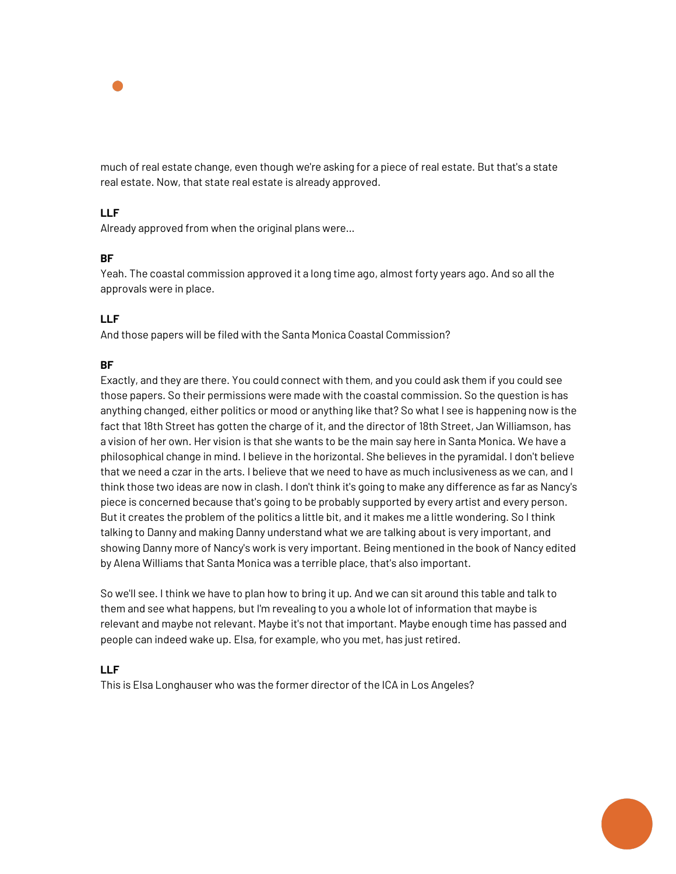

much of real estate change, even though we're asking for a piece of real estate. But that's a state real estate. Now, that state real estate is already approved.

# **LLF**

Already approved from when the original plans were…

## **BF**

Yeah. The coastal commission approved it a long time ago, almost forty years ago. And so all the approvals were in place.

# **LLF**

And those papers will be filed with the Santa Monica Coastal Commission?

## **BF**

Exactly, and they are there. You could connect with them, and you could ask them if you could see those papers. So their permissions were made with the coastal commission. So the question is has anything changed, either politics or mood or anything like that? So what I see is happening now is the fact that 18th Street has gotten the charge of it, and the director of 18th Street, Jan Williamson, has a vision of her own. Her vision is that she wants to be the main say here in Santa Monica. We have a philosophical change in mind. I believe in the horizontal. She believes in the pyramidal. I don't believe that we need a czar in the arts. I believe that we need to have as much inclusiveness as we can, and I think those two ideas are now in clash. I don't think it's going to make any difference as far as Nancy's piece is concerned because that's going to be probably supported by every artist and every person. But it creates the problem of the politics a little bit, and it makes me a little wondering. So I think talking to Danny and making Danny understand what we are talking about is very important, and showing Danny more of Nancy's work is very important. Being mentioned in the book of Nancy edited by Alena Williams that Santa Monica was a terrible place, that's also important.

So we'll see. I think we have to plan how to bring it up. And we can sit around this table and talk to them and see what happens, but I'm revealing to you a whole lot of information that maybe is relevant and maybe not relevant. Maybe it's not that important. Maybe enough time has passed and people can indeed wake up. Elsa, for example, who you met, has just retired.

## **LLF**

This is Elsa Longhauser who was the former director of the ICA in Los Angeles?